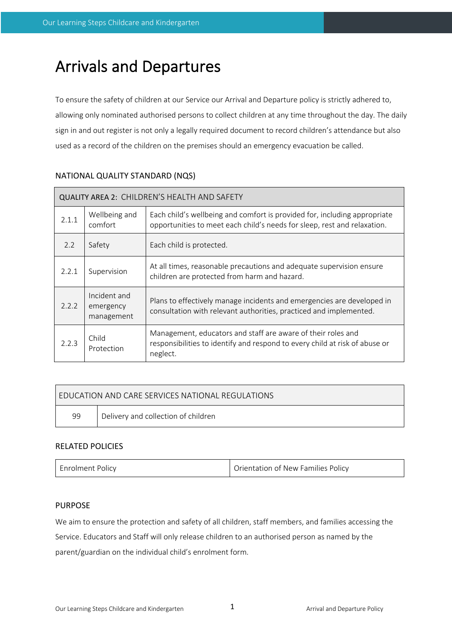# Arrivals and Departures

To ensure the safety of children at our Service our Arrival and Departure policy is strictly adhered to, allowing only nominated authorised persons to collect children at any time throughout the day. The daily sign in and out register is not only a legally required document to record children's attendance but also used as a record of the children on the premises should an emergency evacuation be called.

| QUALITY AREA 2: CHILDREN'S HEALTH AND SAFETY |                                         |                                                                                                                                                         |  |  |  |
|----------------------------------------------|-----------------------------------------|---------------------------------------------------------------------------------------------------------------------------------------------------------|--|--|--|
| 2.1.1                                        | Wellbeing and<br>comfort                | Each child's wellbeing and comfort is provided for, including appropriate<br>opportunities to meet each child's needs for sleep, rest and relaxation.   |  |  |  |
| 2.2                                          | Safety                                  | Each child is protected.                                                                                                                                |  |  |  |
| 2.2.1                                        | Supervision                             | At all times, reasonable precautions and adequate supervision ensure<br>children are protected from harm and hazard.                                    |  |  |  |
| 2.2.2                                        | Incident and<br>emergency<br>management | Plans to effectively manage incidents and emergencies are developed in<br>consultation with relevant authorities, practiced and implemented.            |  |  |  |
| 2.2.3                                        | Child<br>Protection                     | Management, educators and staff are aware of their roles and<br>responsibilities to identify and respond to every child at risk of abuse or<br>neglect. |  |  |  |

# NATIONAL QUALITY STANDARD (NQS)

| <b>FDUCATION AND CARE SERVICES NATIONAL REGULATIONS</b> |                                     |  |  |  |  |
|---------------------------------------------------------|-------------------------------------|--|--|--|--|
| 99                                                      | Delivery and collection of children |  |  |  |  |

# RELATED POLICIES

| Orientation of New Families Policv<br><b>Enrolment Policy</b> |
|---------------------------------------------------------------|
|---------------------------------------------------------------|

# PURPOSE

We aim to ensure the protection and safety of all children, staff members, and families accessing the Service. Educators and Staff will only release children to an authorised person as named by the parent/guardian on the individual child's enrolment form.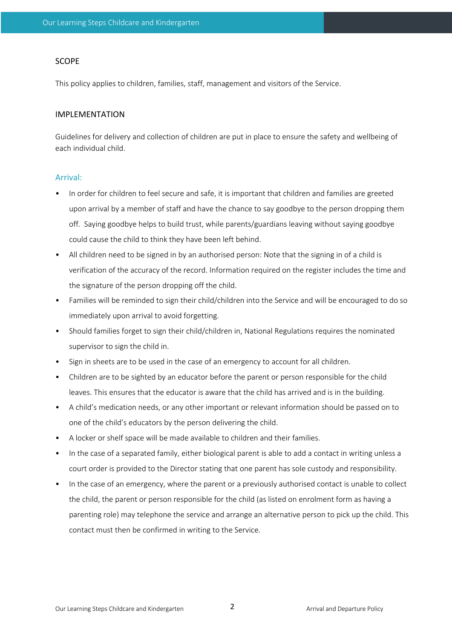## SCOPE

This policy applies to children, families, staff, management and visitors of the Service.

## IMPLEMENTATION

Guidelines for delivery and collection of children are put in place to ensure the safety and wellbeing of each individual child.

#### Arrival:

- In order for children to feel secure and safe, it is important that children and families are greeted upon arrival by a member of staff and have the chance to say goodbye to the person dropping them off. Saying goodbye helps to build trust, while parents/guardians leaving without saying goodbye could cause the child to think they have been left behind.
- All children need to be signed in by an authorised person: Note that the signing in of a child is verification of the accuracy of the record. Information required on the register includes the time and the signature of the person dropping off the child.
- Families will be reminded to sign their child/children into the Service and will be encouraged to do so immediately upon arrival to avoid forgetting.
- Should families forget to sign their child/children in, National Regulations requires the nominated supervisor to sign the child in.
- Sign in sheets are to be used in the case of an emergency to account for all children.
- Children are to be sighted by an educator before the parent or person responsible for the child leaves. This ensures that the educator is aware that the child has arrived and is in the building.
- A child's medication needs, or any other important or relevant information should be passed on to one of the child's educators by the person delivering the child.
- A locker or shelf space will be made available to children and their families.
- In the case of a separated family, either biological parent is able to add a contact in writing unless a court order is provided to the Director stating that one parent has sole custody and responsibility.
- In the case of an emergency, where the parent or a previously authorised contact is unable to collect the child, the parent or person responsible for the child (as listed on enrolment form as having a parenting role) may telephone the service and arrange an alternative person to pick up the child. This contact must then be confirmed in writing to the Service.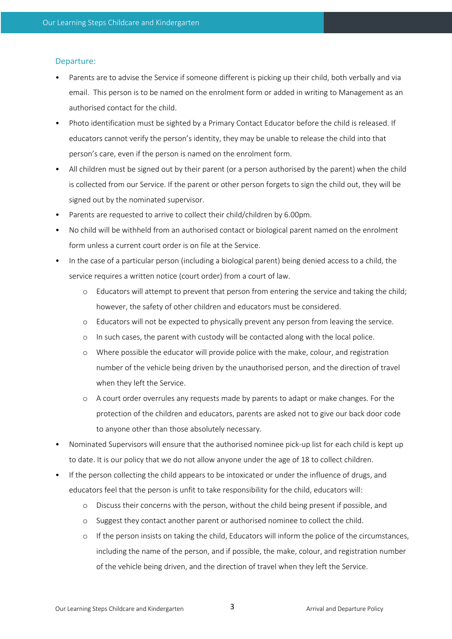# Departure:

- Parents are to advise the Service if someone different is picking up their child, both verbally and via email. This person is to be named on the enrolment form or added in writing to Management as an authorised contact for the child.
- Photo identification must be sighted by a Primary Contact Educator before the child is released. If educators cannot verify the person's identity, they may be unable to release the child into that person's care, even if the person is named on the enrolment form.
- All children must be signed out by their parent (or a person authorised by the parent) when the child is collected from our Service. If the parent or other person forgets to sign the child out, they will be signed out by the nominated supervisor.
- Parents are requested to arrive to collect their child/children by 6.00pm.
- No child will be withheld from an authorised contact or biological parent named on the enrolment form unless a current court order is on file at the Service.
- In the case of a particular person (including a biological parent) being denied access to a child, the service requires a written notice (court order) from a court of law.
	- o Educators will attempt to prevent that person from entering the service and taking the child; however, the safety of other children and educators must be considered.
	- o Educators will not be expected to physically prevent any person from leaving the service.
	- o In such cases, the parent with custody will be contacted along with the local police.
	- o Where possible the educator will provide police with the make, colour, and registration number of the vehicle being driven by the unauthorised person, and the direction of travel when they left the Service.
	- o A court order overrules any requests made by parents to adapt or make changes. For the protection of the children and educators, parents are asked not to give our back door code to anyone other than those absolutely necessary.
- Nominated Supervisors will ensure that the authorised nominee pick-up list for each child is kept up to date. It is our policy that we do not allow anyone under the age of 18 to collect children.
- If the person collecting the child appears to be intoxicated or under the influence of drugs, and educators feel that the person is unfit to take responsibility for the child, educators will:
	- o Discuss their concerns with the person, without the child being present if possible, and
	- o Suggest they contact another parent or authorised nominee to collect the child.
	- o If the person insists on taking the child, Educators will inform the police of the circumstances, including the name of the person, and if possible, the make, colour, and registration number of the vehicle being driven, and the direction of travel when they left the Service.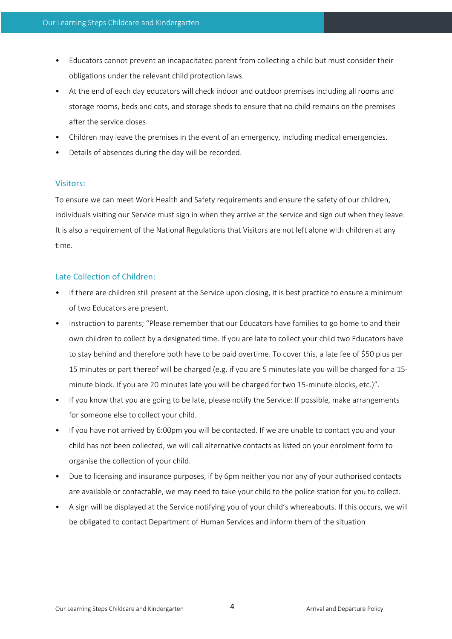- Educators cannot prevent an incapacitated parent from collecting a child but must consider their obligations under the relevant child protection laws.
- At the end of each day educators will check indoor and outdoor premises including all rooms and storage rooms, beds and cots, and storage sheds to ensure that no child remains on the premises after the service closes.
- Children may leave the premises in the event of an emergency, including medical emergencies.
- Details of absences during the day will be recorded.

## Visitors:

To ensure we can meet Work Health and Safety requirements and ensure the safety of our children, individuals visiting our Service must sign in when they arrive at the service and sign out when they leave. It is also a requirement of the National Regulations that Visitors are not left alone with children at any time.

# Late Collection of Children:

- If there are children still present at the Service upon closing, it is best practice to ensure a minimum of two Educators are present.
- Instruction to parents; "Please remember that our Educators have families to go home to and their own children to collect by a designated time. If you are late to collect your child two Educators have to stay behind and therefore both have to be paid overtime. To cover this, a late fee of \$50 plus per 15 minutes or part thereof will be charged (e.g. if you are 5 minutes late you will be charged for a 15 minute block. If you are 20 minutes late you will be charged for two 15-minute blocks, etc.)".
- If you know that you are going to be late, please notify the Service: If possible, make arrangements for someone else to collect your child.
- If you have not arrived by 6:00pm you will be contacted. If we are unable to contact you and your child has not been collected, we will call alternative contacts as listed on your enrolment form to organise the collection of your child.
- Due to licensing and insurance purposes, if by 6pm neither you nor any of your authorised contacts are available or contactable, we may need to take your child to the police station for you to collect.
- A sign will be displayed at the Service notifying you of your child's whereabouts. If this occurs, we will be obligated to contact Department of Human Services and inform them of the situation